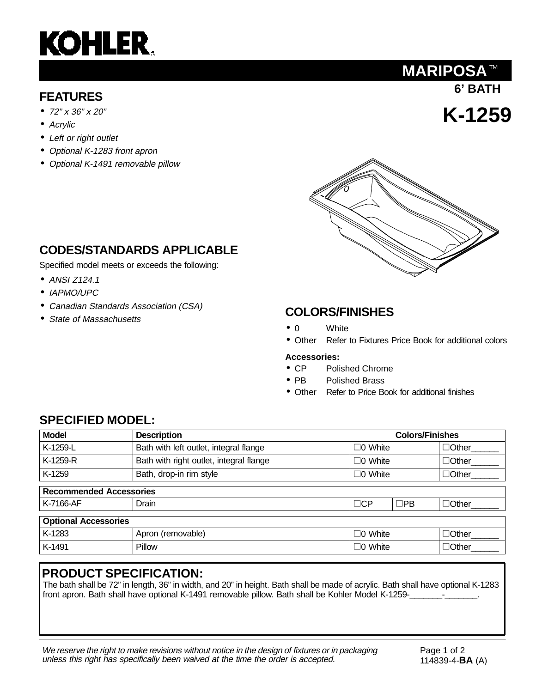# **KOHLER.**

- 72" x 36" x 20"
- Acrylic
- Left or right outlet
- Optional K-1283 front apron
- Optional K-1491 removable pillow

### **CODES/STANDARDS APPLICABLE**

Specified model meets or exceeds the following:

- ANSI Z124.1
- IAPMO/UPC
- Canadian Standards Association (CSA)
- State of Massachusetts

#### **COLORS/FINISHES**

- 0 White
- Other Refer to Fixtures Price Book for additional colors

#### **Accessories:**

- CP Polished Chrome
- PB Polished Brass
- Other Refer to Price Book for additional finishes

#### **SPECIFIED MODEL:**

| <b>Model</b>                   | <b>Description</b>                      |                | <b>Colors/Finishes</b>    |  |
|--------------------------------|-----------------------------------------|----------------|---------------------------|--|
| K-1259-L                       | Bath with left outlet, integral flange  | $\Box$ 0 White | $\Box$ Other              |  |
| K-1259-R                       | Bath with right outlet, integral flange | $\Box$ 0 White | $\Box$ Other              |  |
| K-1259                         | Bath, drop-in rim style                 | $\Box$ 0 White | $\Box$ Other              |  |
| <b>Recommended Accessories</b> |                                         |                |                           |  |
| K-7166-AF                      | Drain                                   | $\Box$ CP      | $\Box$ PB<br>$\Box$ Other |  |
| <b>Optional Accessories</b>    |                                         |                |                           |  |
| K-1283                         | Apron (removable)                       | $\Box$ 0 White | $\Box$ Other              |  |
| K-1491                         | Pillow                                  | $\Box$ 0 White | $\Box$ Other              |  |

#### **PRODUCT SPECIFICATION:**

The bath shall be 72" in length, 36" in width, and 20" in height. Bath shall be made of acrylic. Bath shall have optional K-1283 front apron. Bath shall have optional K-1491 removable pillow. Bath shall be Kohler Model K-1259-\_\_\_\_\_\_\_-

We reserve the right to make revisions without notice in the design of fixtures or in packaging unless this right has specifically been waived at the time the order is accepted.

**6' BATH FEATURES**

**MARIPOSA™** 

**K-1259**